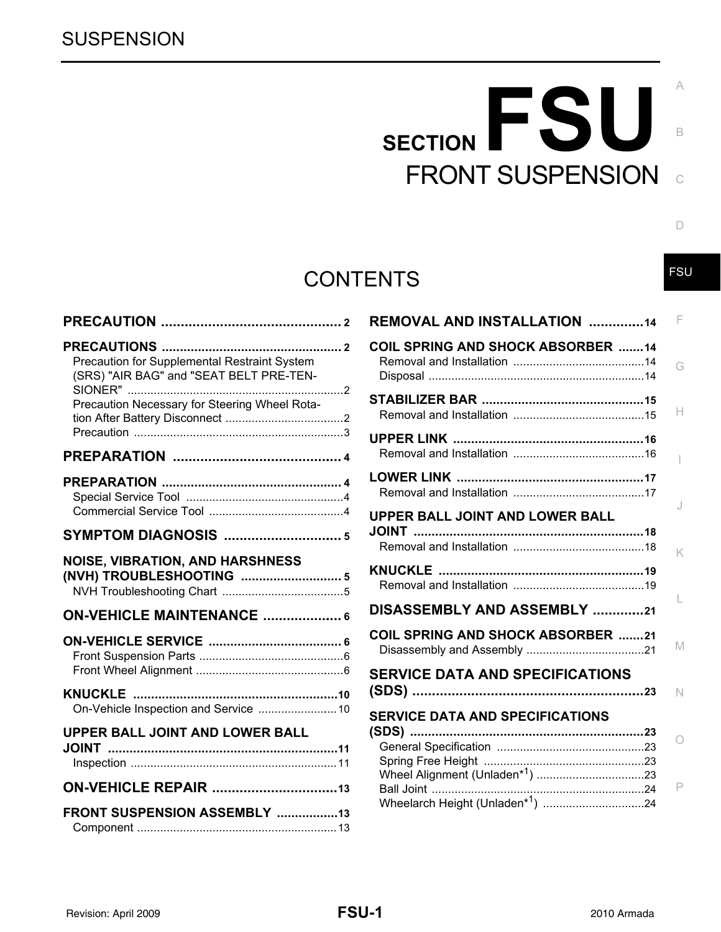# SECTION FSU FRONT SUSPENSION

C

B

 $\Box$ 

FSU

## **CONTENTS**

| Precaution for Supplemental Restraint System<br>(SRS) "AIR BAG" and "SEAT BELT PRE-TEN- |
|-----------------------------------------------------------------------------------------|
| Precaution Necessary for Steering Wheel Rota-                                           |
|                                                                                         |
|                                                                                         |
| <b>SYMPTOM DIAGNOSIS  5</b>                                                             |
| <b>NOISE, VIBRATION, AND HARSHNESS</b><br>(NVH) TROUBLESHOOTING  5                      |
| <b>ON-VEHICLE MAINTENANCE  6</b>                                                        |
|                                                                                         |
| On-Vehicle Inspection and Service  10                                                   |
| <b>UPPER BALL JOINT AND LOWER BALL</b>                                                  |
| <b>ON-VEHICLE REPAIR 13</b>                                                             |
| FRONT SUSPENSION ASSEMBLY 13                                                            |

| REMOVAL AND INSTALLATION 14              | F           |
|------------------------------------------|-------------|
| <b>COIL SPRING AND SHOCK ABSORBER 14</b> | G           |
|                                          | Н           |
|                                          | L           |
|                                          | J           |
| <b>UPPER BALL JOINT AND LOWER BALL</b>   | K           |
|                                          |             |
| DISASSEMBLY AND ASSEMBLY 21              | L           |
| <b>COIL SPRING AND SHOCK ABSORBER 21</b> | M           |
| <b>SERVICE DATA AND SPECIFICATIONS</b>   | $\mathbb N$ |
| <b>SERVICE DATA AND SPECIFICATIONS</b>   |             |
|                                          | Ο<br>P      |
|                                          |             |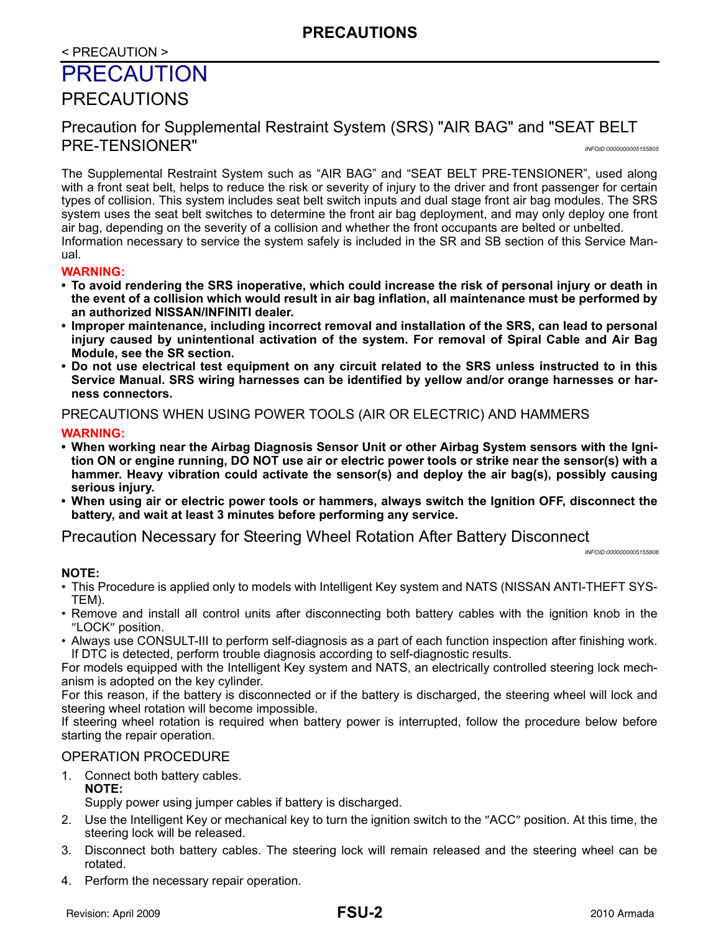#### < PRECAUTION >

## <span id="page-1-0"></span>PRECAUTION

#### <span id="page-1-1"></span>PRECAUTIONS

#### <span id="page-1-2"></span>Precaution for Supplemental Restraint System (SRS) "AIR BAG" and "SEAT BELT PRE-TENSIONER" *INFOID:0000000005155805*

The Supplemental Restraint System such as "AIR BAG" and "SEAT BELT PRE-TENSIONER", used along with a front seat belt, helps to reduce the risk or severity of injury to the driver and front passenger for certain types of collision. This system includes seat belt switch inputs and dual stage front air bag modules. The SRS system uses the seat belt switches to determine the front air bag deployment, and may only deploy one front air bag, depending on the severity of a collision and whether the front occupants are belted or unbelted. Information necessary to service the system safely is included in the SR and SB section of this Service Man-

#### ual. **WARNING:**

- **To avoid rendering the SRS inoperative, which could increase the risk of personal injury or death in the event of a collision which would result in air bag inflation, all maintenance must be performed by an authorized NISSAN/INFINITI dealer.**
- **Improper maintenance, including incorrect removal and installation of the SRS, can lead to personal injury caused by unintentional activation of the system. For removal of Spiral Cable and Air Bag Module, see the SR section.**
- **Do not use electrical test equipment on any circuit related to the SRS unless instructed to in this Service Manual. SRS wiring harnesses can be identified by yellow and/or orange harnesses or harness connectors.**

#### PRECAUTIONS WHEN USING POWER TOOLS (AIR OR ELECTRIC) AND HAMMERS

#### **WARNING:**

- **When working near the Airbag Diagnosis Sensor Unit or other Airbag System sensors with the Ignition ON or engine running, DO NOT use air or electric power tools or strike near the sensor(s) with a hammer. Heavy vibration could activate the sensor(s) and deploy the air bag(s), possibly causing serious injury.**
- **When using air or electric power tools or hammers, always switch the Ignition OFF, disconnect the battery, and wait at least 3 minutes before performing any service.**

#### <span id="page-1-3"></span>Precaution Necessary for Steering Wheel Rotation After Battery Disconnect

*INFOID:0000000005155806*

#### **NOTE:**

- This Procedure is applied only to models with Intelligent Key system and NATS (NISSAN ANTI-THEFT SYS-TEM).
- Remove and install all control units after disconnecting both battery cables with the ignition knob in the ″LOCK″ position.
- Always use CONSULT-III to perform self-diagnosis as a part of each function inspection after finishing work. If DTC is detected, perform trouble diagnosis according to self-diagnostic results.

For models equipped with the Intelligent Key system and NATS, an electrically controlled steering lock mechanism is adopted on the key cylinder.

For this reason, if the battery is disconnected or if the battery is discharged, the steering wheel will lock and steering wheel rotation will become impossible.

If steering wheel rotation is required when battery power is interrupted, follow the procedure below before starting the repair operation.

#### OPERATION PROCEDURE

- 1. Connect both battery cables. **NOTE:** Supply power using jumper cables if battery is discharged.
- 2. Use the Intelligent Key or mechanical key to turn the ignition switch to the ″ACC″ position. At this time, the steering lock will be released.
- 3. Disconnect both battery cables. The steering lock will remain released and the steering wheel can be rotated.
- 4. Perform the necessary repair operation.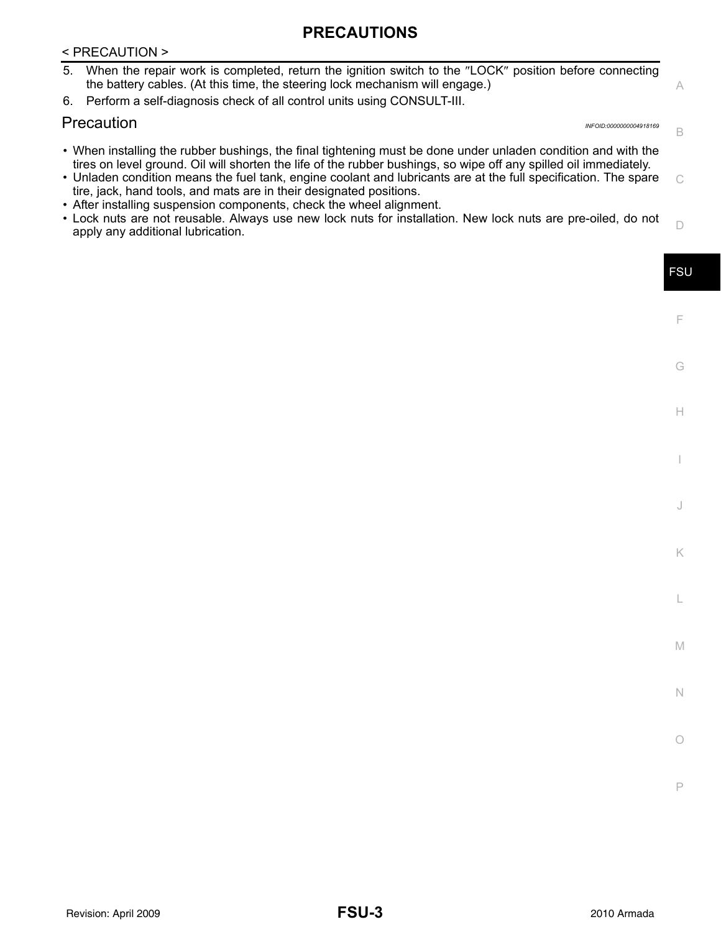## **PRECAUTIONS**

#### < PRECAUTION >

- 5. When the repair work is completed, return the ignition switch to the ″LOCK″ position before connecting the battery cables. (At this time, the steering lock mechanism will engage.)
- 6. Perform a self-diagnosis check of all control units using CONSULT-III.

#### <span id="page-2-0"></span>Precaution *INFOID:0000000004918169*

B

- When installing the rubber bushings, the final tightening must be done under unladen condition and with the tires on level ground. Oil will shorten the life of the rubber bushings, so wipe off any spilled oil immediately.
- C • Unladen condition means the fuel tank, engine coolant and lubricants are at the full specification. The spare tire, jack, hand tools, and mats are in their designated positions.
- After installing suspension components, check the wheel alignment.
- Lock nuts are not reusable. Always use new lock nuts for installation. New lock nuts are pre-oiled, do not apply any additional lubrication.

F

G

H

I

J

K

L

M

N

O

P

 $\Box$ 

A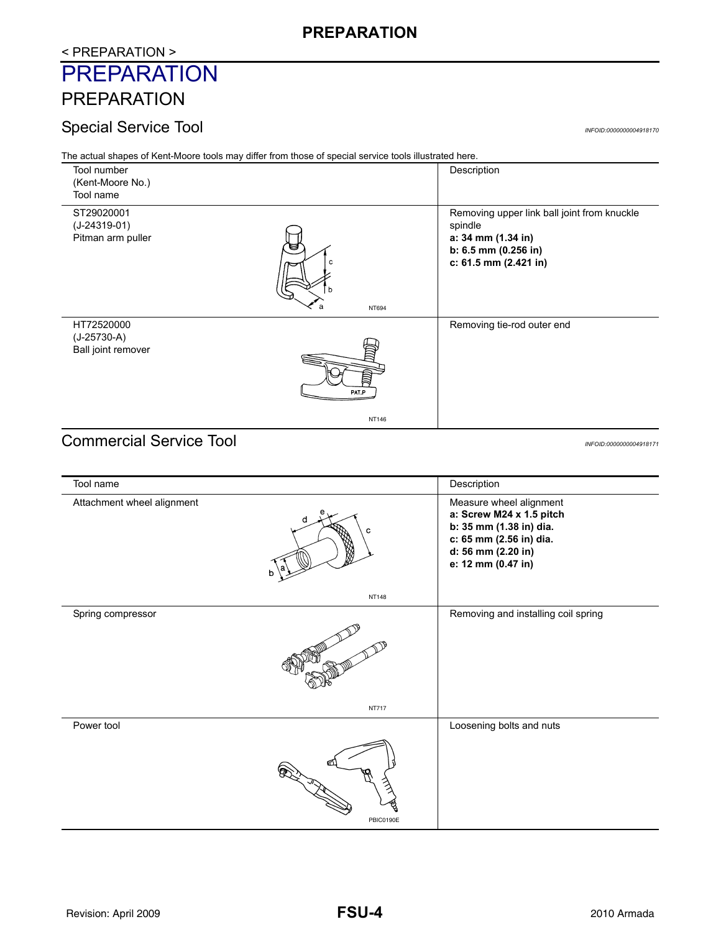#### **PREPARATION**

## < PREPARATION >

## <span id="page-3-0"></span>**PREPARATION**

## <span id="page-3-1"></span>PREPARATION

## <span id="page-3-2"></span>Special Service Tool *INFOID:000000004918170*

The actual shapes of Kent-Moore tools may differ from those of special service tools illustrated here.

| Tool number<br>(Kent-Moore No.)<br>Tool name      |                      | Description                                                                                                                   |
|---------------------------------------------------|----------------------|-------------------------------------------------------------------------------------------------------------------------------|
| ST29020001<br>$(J-24319-01)$<br>Pitman arm puller | C<br>h<br>a<br>NT694 | Removing upper link ball joint from knuckle<br>spindle<br>a: 34 mm (1.34 in)<br>b: 6.5 mm (0.256 in)<br>c: 61.5 mm (2.421 in) |
| HT72520000<br>$(J-25730-A)$<br>Ball joint remover | PAT.P<br>NT146       | Removing tie-rod outer end                                                                                                    |

## <span id="page-3-3"></span>Commercial Service Tool *INFOID:0000000004918171*

| Tool name                  |              | Description                                                                                                                                           |
|----------------------------|--------------|-------------------------------------------------------------------------------------------------------------------------------------------------------|
| Attachment wheel alignment | d<br>c<br>b. | Measure wheel alignment<br>a: Screw M24 x 1.5 pitch<br>b: 35 mm (1.38 in) dia.<br>c: 65 mm (2.56 in) dia.<br>d: 56 mm (2.20 in)<br>e: 12 mm (0.47 in) |
| Spring compressor          | <b>NT148</b> | Removing and installing coil spring                                                                                                                   |
|                            | NT717        |                                                                                                                                                       |
| Power tool                 | PBIC0190E    | Loosening bolts and nuts                                                                                                                              |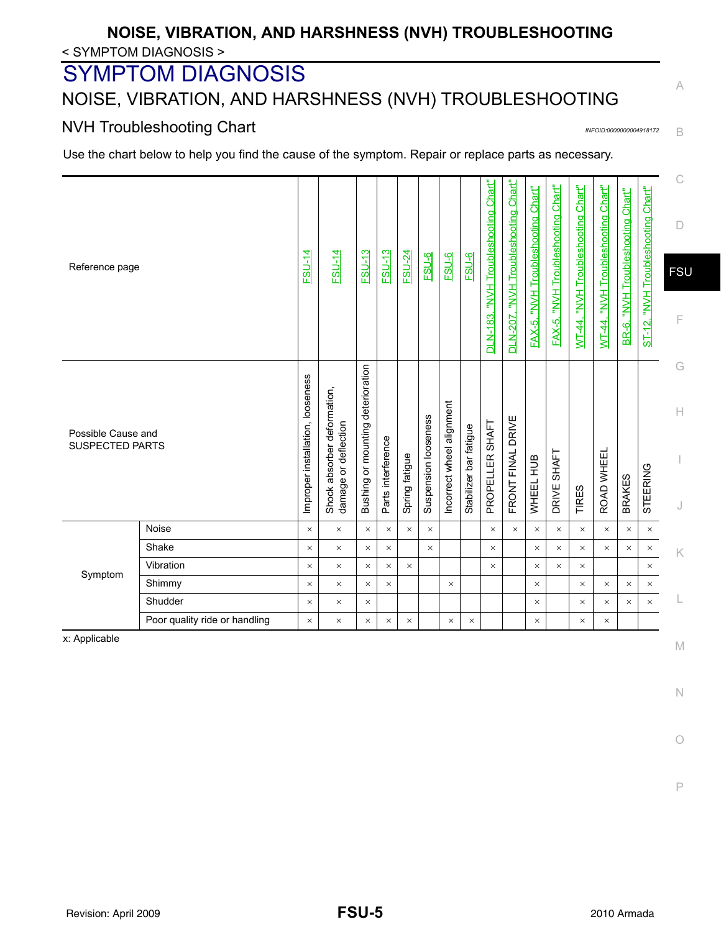### **NOISE, VIBRATION, AND HARSHNESS (NVH) TROUBLESHOOTING** < SYMPTOM DIAGNOSIS >

## <span id="page-4-0"></span>SYMPTOM DIAGNOSIS

## <span id="page-4-1"></span>NOISE, VIBRATION, AND HARSHNESS (NVH) TROUBLESHOOTING

### <span id="page-4-2"></span>NVH Troubleshooting Chart **Integral Chart** *INFOID:000000004918172*

B

A

Use the chart below to help you find the cause of the symptom. Repair or replace parts as necessary.

| Reference page                               |                               | FSU-14                           | FSU-14                                              | <b>FSU-13</b>                     | FSU-13             | <b>FSU-24</b>  | <u>FSU-6</u>         | <u>FSU-6</u>              | <u>FSU-6</u>           | Chart"<br>"NVH Troubleshooting<br><b>DLN-183</b> | "NVH Troubleshooting Chart"<br>DLN-207. | FAX-5, "NVH Troubleshooting Chart" | "NVH Troubleshooting Chart"<br><b>FAX-5.</b> | WT-44, "NVH Troubleshooting Chart" | WT-44, "NVH Troubleshooting Chart" | "NVH Troubleshooting Chart"<br>BR-6. | ST-12, "NVH Troubleshooting Chart" | $\mathbb C$<br>D<br><b>FSU</b><br>F |
|----------------------------------------------|-------------------------------|----------------------------------|-----------------------------------------------------|-----------------------------------|--------------------|----------------|----------------------|---------------------------|------------------------|--------------------------------------------------|-----------------------------------------|------------------------------------|----------------------------------------------|------------------------------------|------------------------------------|--------------------------------------|------------------------------------|-------------------------------------|
| Possible Cause and<br><b>SUSPECTED PARTS</b> |                               | Improper installation, looseness | Shock absorber deformation,<br>damage or deflection | Bushing or mounting deterioration | Parts interference | Spring fatigue | Suspension looseness | Incorrect wheel alignment | Stabilizer bar fatigue | <b>SHAFT</b><br>PROPELLER                        | FRONT FINAL DRIVE                       | WHEEL HUB                          | <b>SHAFT</b><br>DRIVE                        | TIRES                              | ROAD WHEEL                         | <b>BRAKES</b>                        | STEERING                           | G<br>H<br>J                         |
|                                              | <b>Noise</b>                  | $\times$                         | $\times$                                            | $\times$                          | $\times$           | $\times$       | $\times$             |                           |                        | $\times$                                         | $\times$                                | $\times$                           | $\times$                                     | $\times$                           | $\times$                           | $\times$                             | $\times$                           |                                     |
|                                              | Shake                         | $\times$                         | $\times$                                            | $\times$                          | $\times$           |                | $\times$             |                           |                        | $\times$                                         |                                         | $\times$                           | X                                            | $\times$                           | $\times$                           | $\times$                             | $\times$                           | K                                   |
| Symptom                                      | Vibration                     | $\times$                         | $\times$                                            | $\times$                          | $\times$           | $\times$       |                      |                           |                        | $\times$                                         |                                         | $\times$                           | ×                                            | $\times$                           |                                    |                                      | $\times$                           |                                     |
|                                              | Shimmy                        | $\times$                         | $\times$                                            | $\times$                          | $\times$           |                |                      | $\times$                  |                        |                                                  |                                         | $\times$                           |                                              | $\times$                           | $\times$                           | $\times$                             | $\times$                           |                                     |
|                                              | Shudder                       | $\times$                         | $\times$                                            | $\times$                          |                    |                |                      |                           |                        |                                                  |                                         | $\times$                           |                                              | $\times$                           | $\times$                           | $\times$                             | $\times$                           |                                     |
|                                              | Poor quality ride or handling | $\times$                         | $\times$                                            | $\times$                          | $\times$           | $\times$       |                      | $\times$                  | $\times$               |                                                  |                                         | $\times$                           |                                              | $\times$                           | $\times$                           |                                      |                                    |                                     |

x: Applicable

N

 $\bigcirc$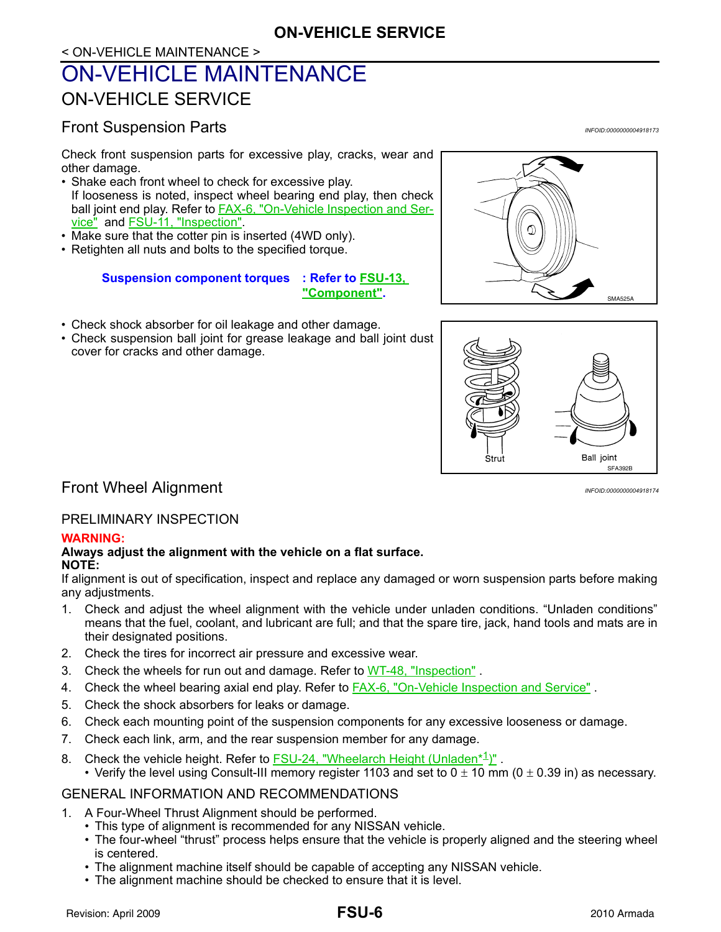## <span id="page-5-0"></span>< ON-VEHICLE MAINTENANCE > ON-VEHICLE MAINTENANCE ON-VEHICLE SERVICE

#### <span id="page-5-2"></span><span id="page-5-1"></span>Front Suspension Parts *INFOID:0000000004918173*

Check front suspension parts for excessive play, cracks, wear and other damage.

- Shake each front wheel to check for excessive play. If looseness is noted, inspect wheel bearing end play, then check ball joint end play. Refer to **FAX-6**, "On-Vehicle Inspection and Service" and [FSU-11, "Inspection"](#page-10-1).
- Make sure that the cotter pin is inserted (4WD only).
- Retighten all nuts and bolts to the specified torque.

#### **Suspension component torques : Refer to <b>FSU-13**, **["Component".](#page-12-2)**

- Check shock absorber for oil leakage and other damage.
- Check suspension ball joint for grease leakage and ball joint dust cover for cracks and other damage.





## <span id="page-5-3"></span>Front Wheel Alignment *INFOID:0000000004918174*

#### PRELIMINARY INSPECTION

#### **WARNING:**

#### **Always adjust the alignment with the vehicle on a flat surface. NOTE:**

If alignment is out of specification, inspect and replace any damaged or worn suspension parts before making any adjustments.

- 1. Check and adjust the wheel alignment with the vehicle under unladen conditions. "Unladen conditions" means that the fuel, coolant, and lubricant are full; and that the spare tire, jack, hand tools and mats are in their designated positions.
- 2. Check the tires for incorrect air pressure and excessive wear.
- 3. Check the wheels for run out and damage. Refer to WT-48, "Inspection" .
- 4. Check the wheel bearing axial end play. Refer to FAX-6, "On-Vehicle Inspection and Service" .
- 5. Check the shock absorbers for leaks or damage.
- 6. Check each mounting point of the suspension components for any excessive looseness or damage.
- 7. Check each link, arm, and the rear suspension member for any damage.
- 8. Check the vehicle height. Refer to FSU-24, "Wheelarch Height (Unladen<sup>\*1</sup>)". • Verify the level using Consult-III memory register 1103 and set to  $0 \pm 10$  mm ( $0 \pm 0.39$  in) as necessary.

#### GENERAL INFORMATION AND RECOMMENDATIONS

- 1. A Four-Wheel Thrust Alignment should be performed.
	- This type of alignment is recommended for any NISSAN vehicle.
	- The four-wheel "thrust" process helps ensure that the vehicle is properly aligned and the steering wheel is centered.
	- The alignment machine itself should be capable of accepting any NISSAN vehicle.
	- The alignment machine should be checked to ensure that it is level.

#### **FSU-6**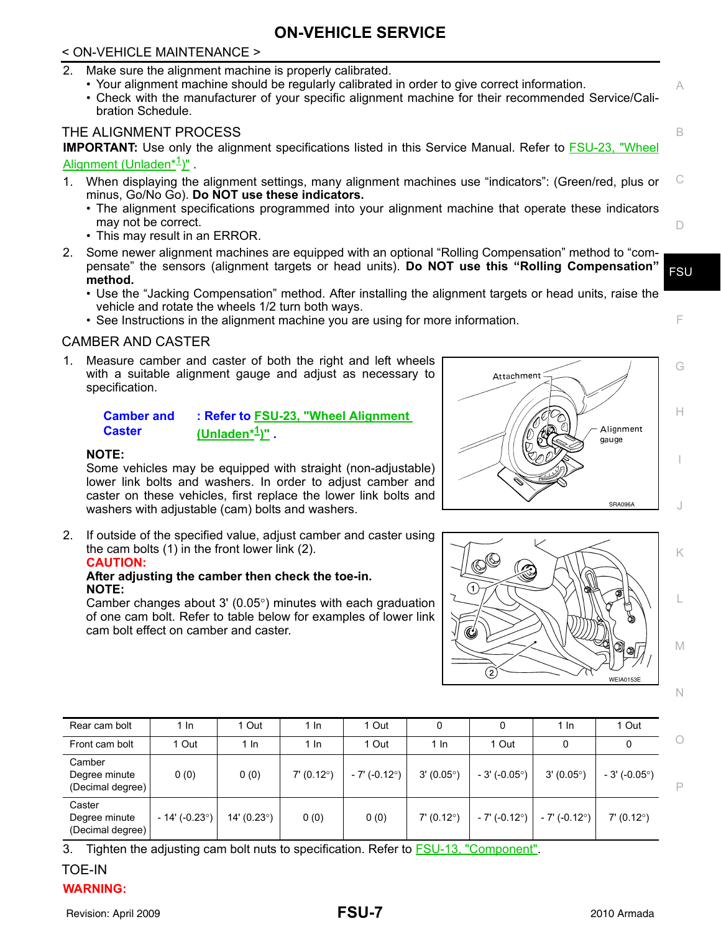## **ON-VEHICLE SERVICE**

#### < ON-VEHICLE MAINTENANCE >

- 2. Make sure the alignment machine is properly calibrated.
	- Your alignment machine should be regularly calibrated in order to give correct information.
	- Check with the manufacturer of your specific alignment machine for their recommended Service/Calibration Schedule.

## THE ALIGNMENT PROCESS

**IMPORTANT:** Use only the alignment specifications listed in this Service Manual. Refer to **FSU-23**, "Wheel Alignment (Unladen<sup>\*1</sup>)"

- C 1. When displaying the alignment settings, many alignment machines use "indicators": (Green/red, plus or minus, Go/No Go). **Do NOT use these indicators.**
	- The alignment specifications programmed into your alignment machine that operate these indicators may not be correct.
	- This may result in an ERROR.
- 2. Some newer alignment machines are equipped with an optional "Rolling Compensation" method to "compensate" the sensors (alignment targets or head units). **Do NOT use this "Rolling Compensation" method.**
	- Use the "Jacking Compensation" method. After installing the alignment targets or head units, raise the vehicle and rotate the wheels 1/2 turn both ways.
	- See Instructions in the alignment machine you are using for more information.

#### CAMBER AND CASTER

1. Measure camber and caster of both the right and left wheels with a suitable alignment gauge and adjust as necessary to specification.

> **Camber and Caster : Refer to [FSU-23, "Wheel Alignment](#page-22-4)  [\(Unladen\\*1\)"](#page-22-4) .**

#### **NOTE:**

Some vehicles may be equipped with straight (non-adjustable) lower link bolts and washers. In order to adjust camber and caster on these vehicles, first replace the lower link bolts and washers with adjustable (cam) bolts and washers.

2. If outside of the specified value, adjust camber and caster using the cam bolts (1) in the front lower link (2). **CAUTION:**

#### **After adjusting the camber then check the toe-in. NOTE:**

Camber changes about 3' (0.05°) minutes with each graduation of one cam bolt. Refer to table below for examples of lower link cam bolt effect on camber and caster.





| Rear cam bolt                               | 1 In           | 1 Out                | $1 \ln$            | 1 Out                     | 0                  | 0                         | 1 In                      | 1 Out                     |  |
|---------------------------------------------|----------------|----------------------|--------------------|---------------------------|--------------------|---------------------------|---------------------------|---------------------------|--|
| Front cam bolt                              | 1 Out          | $1 \ln$              | 1 In               | 1 Out                     | $1 \ln$            | 1 Out                     | 0                         | 0                         |  |
| Camber<br>Degree minute<br>(Decimal degree) | 0(0)           | 0(0)                 | $7'(0.12^{\circ})$ | $-7'$ (-0.12 $^{\circ}$ ) | $3'(0.05^{\circ})$ | $-3'$ (-0.05 $^{\circ}$ ) | $3'(0.05^{\circ})$        | $-3'$ (-0.05 $^{\circ}$ ) |  |
| Caster<br>Degree minute<br>(Decimal degree) | - 14' (-0.23°) | 14' $(0.23^{\circ})$ | 0(0)               | 0(0)                      | $7'(0.12^{\circ})$ | $-7'$ (-0.12 $^{\circ}$ ) | $-7'$ (-0.12 $^{\circ}$ ) | $7'(0.12^{\circ})$        |  |

3. Tighten the adjusting cam bolt nuts to specification. Refer to **FSU-13**, "Component".

#### TOE-IN **WARNING:**

A

B

 $\Box$ 

FSU

F

 $\cap$ 

H

I

J

K

L

M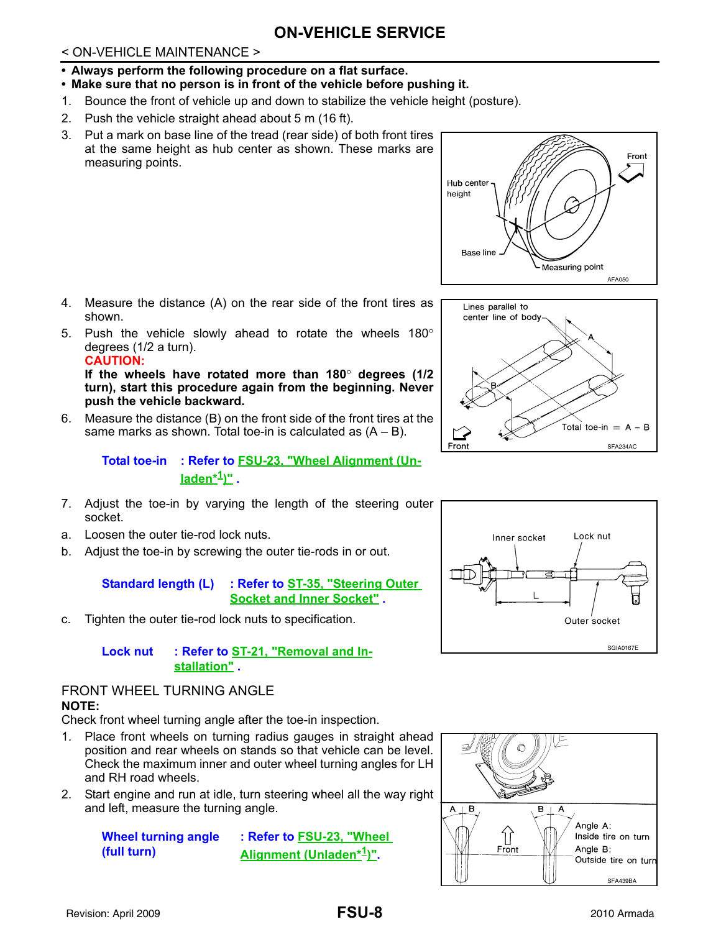## **ON-VEHICLE SERVICE**

#### < ON-VEHICLE MAINTENANCE >

- **Always perform the following procedure on a flat surface.**
- **Make sure that no person is in front of the vehicle before pushing it.**
- 1. Bounce the front of vehicle up and down to stabilize the vehicle height (posture).
- 2. Push the vehicle straight ahead about 5 m (16 ft).
- 3. Put a mark on base line of the tread (rear side) of both front tires at the same height as hub center as shown. These marks are measuring points.

- 4. Measure the distance (A) on the rear side of the front tires as shown.
- 5. Push the vehicle slowly ahead to rotate the wheels 180° degrees (1/2 a turn). **CAUTION:**

**If the wheels have rotated more than 180**° **degrees (1/2 turn), start this procedure again from the beginning. Never push the vehicle backward.**

6. Measure the distance (B) on the front side of the front tires at the same marks as shown. Total toe-in is calculated as  $(A - B)$ .

> **Total toe-in : Refer to [FSU-23, "Wheel Alignment \(Un](#page-22-4)** $l$ aden $*1$ <sup>u</sup> .



- a. Loosen the outer tie-rod lock nuts.
- b. Adjust the toe-in by screwing the outer tie-rods in or out.

**Standard length (L) : Refer to ST-35, "Steering Outer Socket and Inner Socket" .**

c. Tighten the outer tie-rod lock nuts to specification.

**Lock nut : Refer to ST-21, "Removal and Installation" .**

#### FRONT WHEEL TURNING ANGLE **NOTE:**

Check front wheel turning angle after the toe-in inspection.

- 1. Place front wheels on turning radius gauges in straight ahead position and rear wheels on stands so that vehicle can be level. Check the maximum inner and outer wheel turning angles for LH and RH road wheels.
- 2. Start engine and run at idle, turn steering wheel all the way right and left, measure the turning angle.

#### **Wheel turning angle (full turn)**

**: Refer to [FSU-23, "Wheel](#page-22-4)  [Alignment \(Unladen\\*](#page-22-4)1)".**







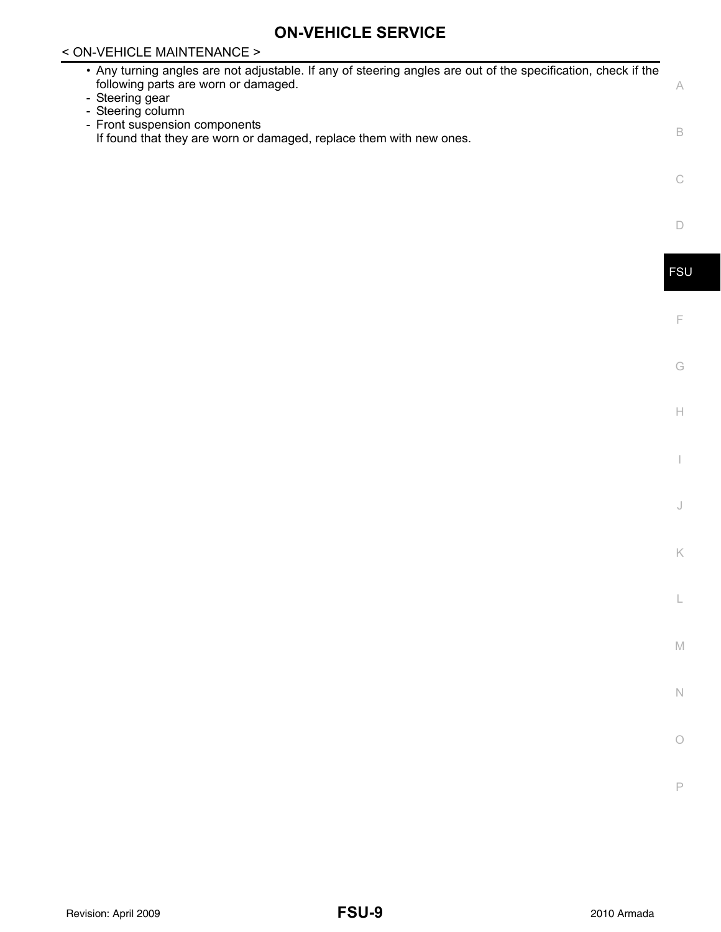## **ON-VEHICLE SERVICE**

#### < ON-VEHICLE MAINTENANCE >

| • Any turning angles are not adjustable. If any of steering angles are out of the specification, check if the<br>following parts are worn or damaged.<br>- Steering gear |  |
|--------------------------------------------------------------------------------------------------------------------------------------------------------------------------|--|
| - Steering column<br>- Front suspension components<br>If found that they are worn or damaged, replace them with new ones.                                                |  |
|                                                                                                                                                                          |  |

FSU

F

G

 $\mathrel{\vdash}\mathrel{\vdash}$ 

I

J

K

L

M

N

O

P

 $\Box$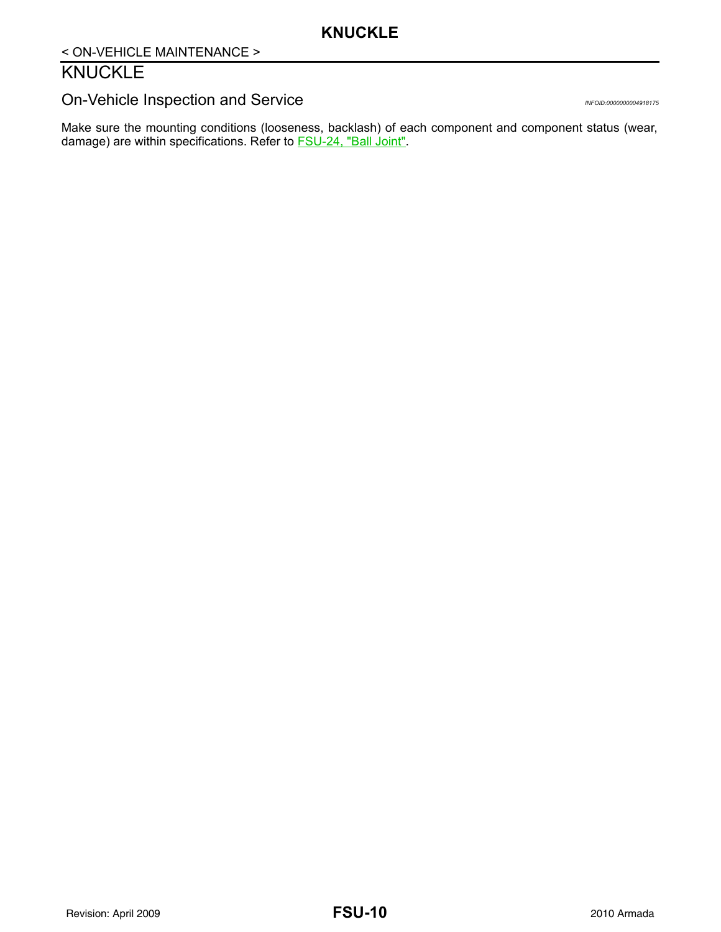#### <span id="page-9-0"></span>< ON-VEHICLE MAINTENANCE > KNUCKLE

## <span id="page-9-1"></span>On-Vehicle Inspection and Service *Instead of American Information INFOID:000000004918175*

Make sure the mounting conditions (looseness, backlash) of each component and component status (wear, damage) are within specifications. Refer to [FSU-24, "Ball Joint".](#page-23-0)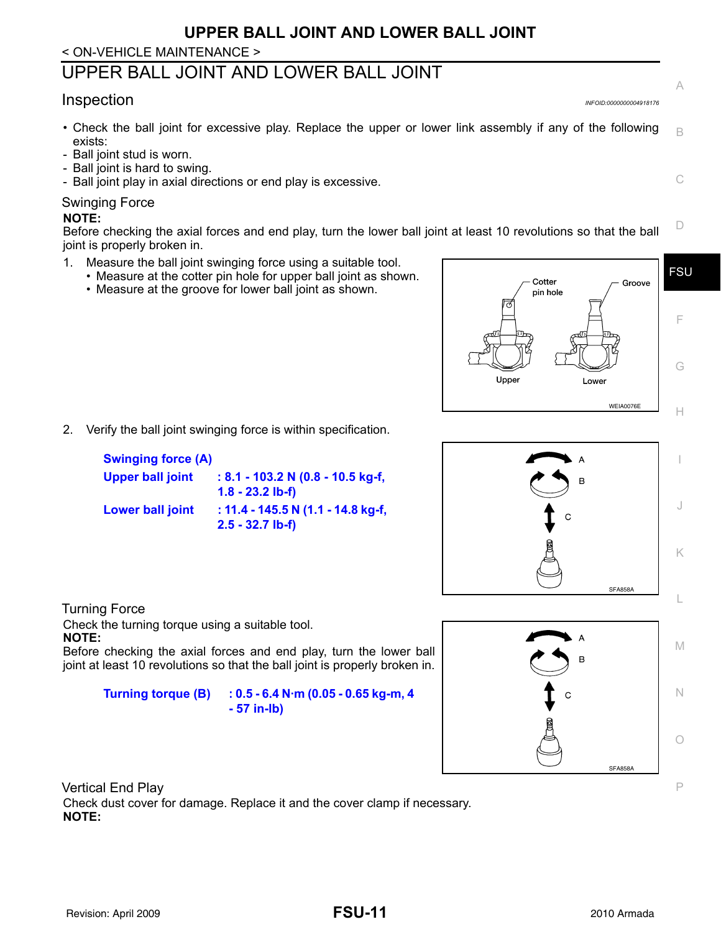## **UPPER BALL JOINT AND LOWER BALL JOINT**

#### < ON-VEHICLE MAINTENANCE >

## <span id="page-10-0"></span>UPPER BALL JOINT AND LOWER BALL JOINT

#### <span id="page-10-1"></span>Inspection *INFOID:0000000004918176*

- Check the ball joint for excessive play. Replace the upper or lower link assembly if any of the following exists:
- Ball joint stud is worn.
- Ball joint is hard to swing.
- Ball joint play in axial directions or end play is excessive.

#### Swinging Force

#### **NOTE:**

D Before checking the axial forces and end play, turn the lower ball joint at least 10 revolutions so that the ball joint is properly broken in.

- 1. Measure the ball joint swinging force using a suitable tool.
	- Measure at the cotter pin hole for upper ball joint as shown.
	- Measure at the groove for lower ball joint as shown.



2. Verify the ball joint swinging force is within specification.

Check the turning torque using a suitable tool.

| <b>Swinging force (A)</b> |                                                           |
|---------------------------|-----------------------------------------------------------|
| Upper ball joint          | $: 8.1 - 103.2$ N (0.8 - 10.5 kg-f,<br>$1.8 - 23.2$ lb-f) |
| <b>Lower ball joint</b>   | : 11.4 - 145.5 N (1.1 - 14.8 kg-f,<br>$2.5 - 32.7$ lb-f)  |

Before checking the axial forces and end play, turn the lower ball joint at least 10 revolutions so that the ball joint is properly broken in.

> **Turning torque (B) : 0.5 - 6.4 N·m (0.05 - 0.65 kg-m, 4 - 57 in-lb)**





Vertical End Play Check dust cover for damage. Replace it and the cover clamp if necessary. **NOTE:**

Revision: April 2009 **2010 Armada Revision: April 2009** 2010 Armada

Turning Force

**NOTE:**

A

C

B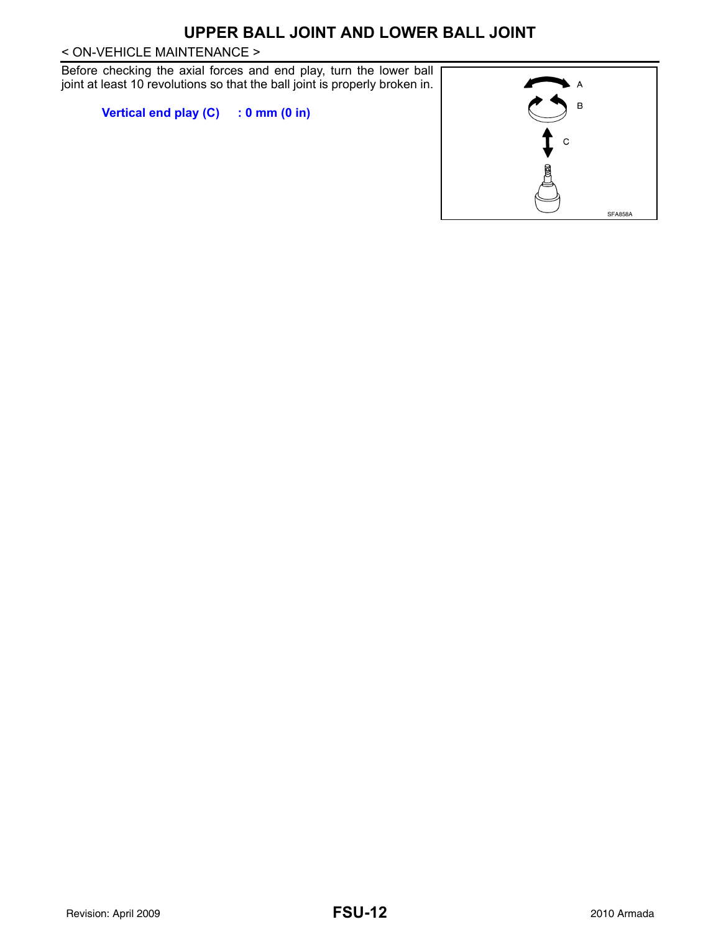## **UPPER BALL JOINT AND LOWER BALL JOINT**

#### < ON-VEHICLE MAINTENANCE >

Before checking the axial forces and end play, turn the lower ball joint at least 10 revolutions so that the ball joint is properly broken in.

**Vertical end play (C) : 0 mm (0 in)** 

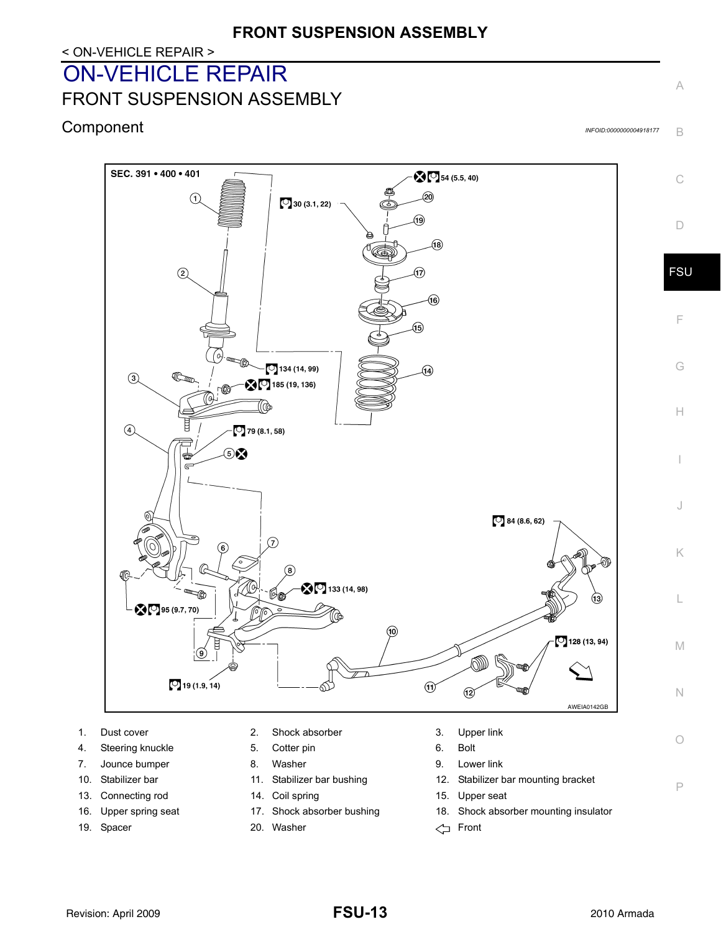#### < ON-VEHICLE REPAIR >

## <span id="page-12-0"></span>ON-VEHICLE REPAIR

<span id="page-12-1"></span>FRONT SUSPENSION ASSEMBLY

## <span id="page-12-2"></span>Component *INFOID:0000000004918177*

B

A



- 
- 13. Connecting rod 14. Coil spring 15. Upper seat
- 
- 
- 
- 
- 
- 
- 19. Spacer 20. Washer  $\leq$  Front
- 
- 10. Stabilizer bar 11. Stabilizer bar bushing 12. Stabilizer bar mounting bracket
	-
- 16. Upper spring seat 17. Shock absorber bushing 18. Shock absorber mounting insulator
	-

P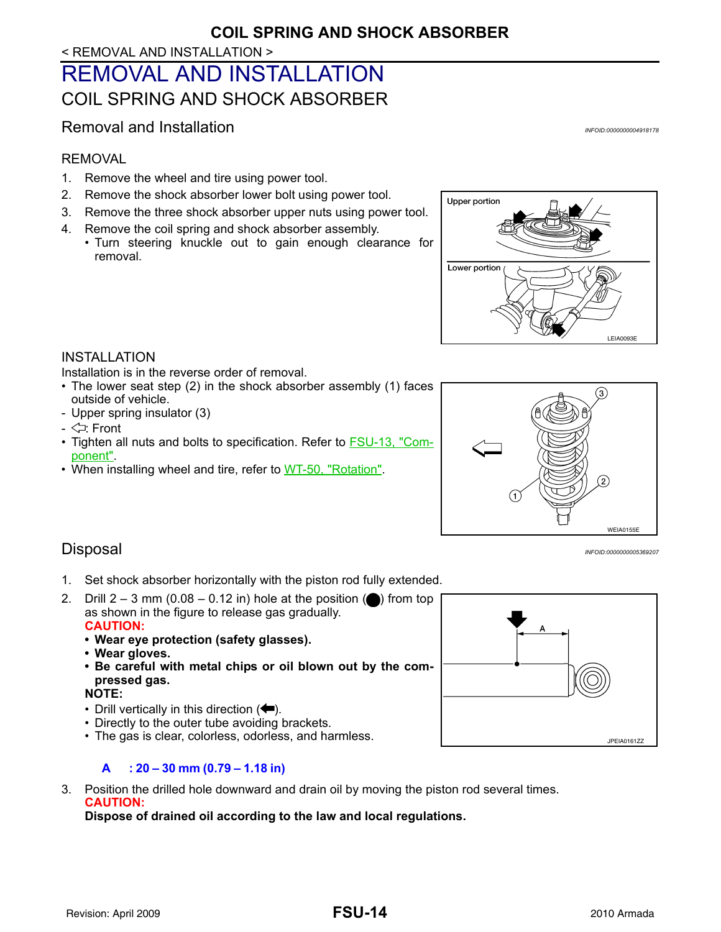## <span id="page-13-1"></span><span id="page-13-0"></span>REMOVAL AND INSTALLATION COIL SPRING AND SHOCK ABSORBER

#### <span id="page-13-2"></span>Removal and Installation *Installation INFOID:000000004918178*

#### **REMOVAL**

- 1. Remove the wheel and tire using power tool.
- 2. Remove the shock absorber lower bolt using power tool.
- 3. Remove the three shock absorber upper nuts using power tool.
- 4. Remove the coil spring and shock absorber assembly.
	- Turn steering knuckle out to gain enough clearance for removal.



#### INSTALLATION

Installation is in the reverse order of removal.

- The lower seat step (2) in the shock absorber assembly (1) faces outside of vehicle.
- Upper spring insulator (3)
- $\Leftrightarrow$ : Front
- Tighten all nuts and bolts to specification. Refer to **FSU-13**, "Com[ponent"](#page-12-2).
- When installing wheel and tire, refer to WT-50, "Rotation".



<span id="page-13-3"></span>

- 1. Set shock absorber horizontally with the piston rod fully extended.
- 2. Drill  $2 3$  mm (0.08 0.12 in) hole at the position ( $\bullet$ ) from top as shown in the figure to release gas gradually. **CAUTION:**
	- **Wear eye protection (safety glasses).**
	- **Wear gloves.**
	- **Be careful with metal chips or oil blown out by the compressed gas.**

#### **NOTE:**

- Drill vertically in this direction  $($ .
- Directly to the outer tube avoiding brackets.
- The gas is clear, colorless, odorless, and harmless.



3. Position the drilled hole downward and drain oil by moving the piston rod several times. **CAUTION:**

**Dispose of drained oil according to the law and local regulations.**

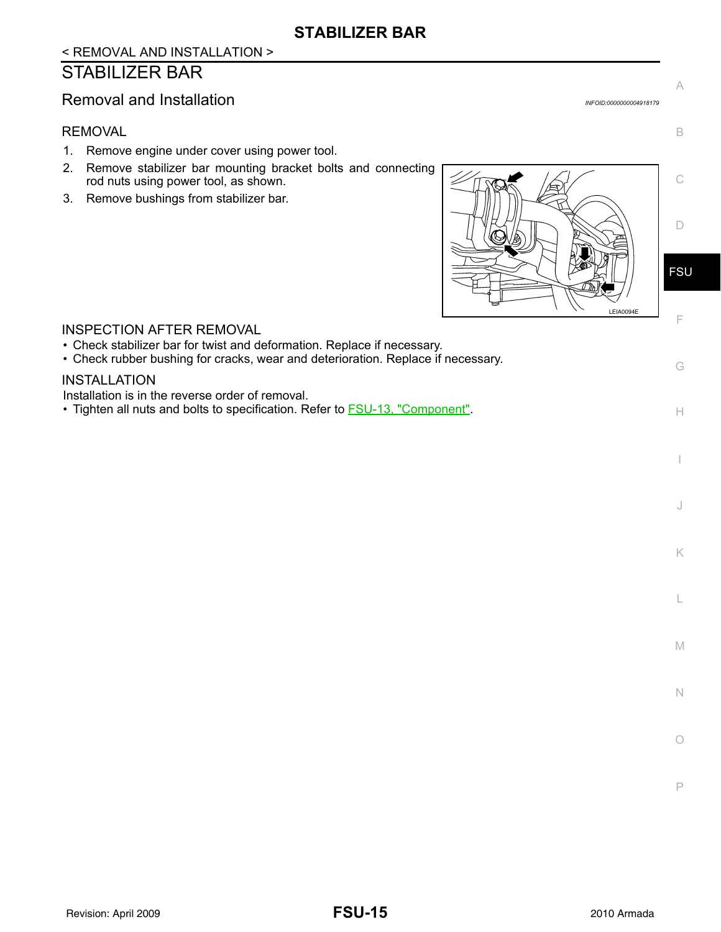## <span id="page-14-0"></span>STABILIZER BAR

#### <span id="page-14-1"></span>Removal and Installation *Installation INFOID:0000000004918179*

#### REMOVAL

- 1. Remove engine under cover using power tool.
- 2. Remove stabilizer bar mounting bracket bolts and connecting rod nuts using power tool, as shown.
- 3. Remove bushings from stabilizer bar.



FSU

D

#### INSPECTION AFTER REMOVAL

- Check stabilizer bar for twist and deformation. Replace if necessary.
- Check rubber bushing for cracks, wear and deterioration. Replace if necessary.

#### INSTALLATION

Installation is in the reverse order of removal.

• Tighten all nuts and bolts to specification. Refer to **FSU-13**, "Component".

G

H

I

J

K

L

M

N

O

P

A

C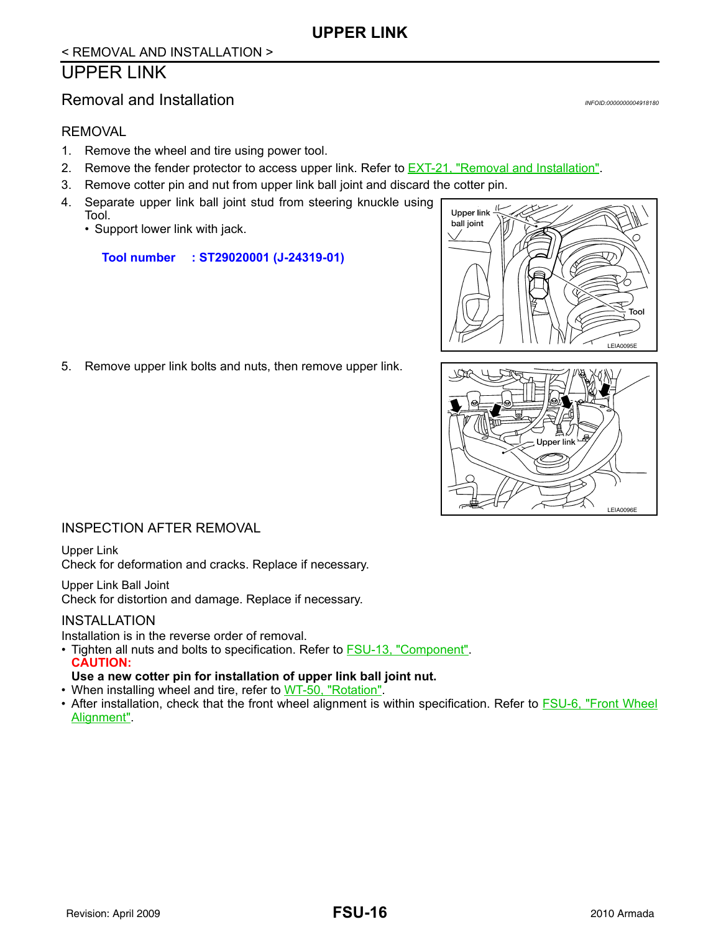## <span id="page-15-0"></span>UPPER LINK

#### <span id="page-15-1"></span>Removal and Installation *Installation Installation Installation INFOID:000000004918180*

#### REMOVAL

- 1. Remove the wheel and tire using power tool.
- 2. Remove the fender protector to access upper link. Refer to **EXT-21**, "Removal and Installation".
- 3. Remove cotter pin and nut from upper link ball joint and discard the cotter pin.
- 4. Separate upper link ball joint stud from steering knuckle using Tool.
	- Support lower link with jack.

#### **Tool number : ST29020001 (J-24319-01)**





#### 5. Remove upper link bolts and nuts, then remove upper link.

#### INSPECTION AFTER REMOVAL

Upper Link Check for deformation and cracks. Replace if necessary.

Upper Link Ball Joint Check for distortion and damage. Replace if necessary.

#### INSTALLATION

Installation is in the reverse order of removal.

• Tighten all nuts and bolts to specification. Refer to **FSU-13**, "Component". **CAUTION:**

#### **Use a new cotter pin for installation of upper link ball joint nut.**

- When installing wheel and tire, refer to WT-50, "Rotation".
- After installation, check that the front wheel alignment is within specification. Refer to **FSU-6**, "Front Wheel [Alignment".](#page-5-3)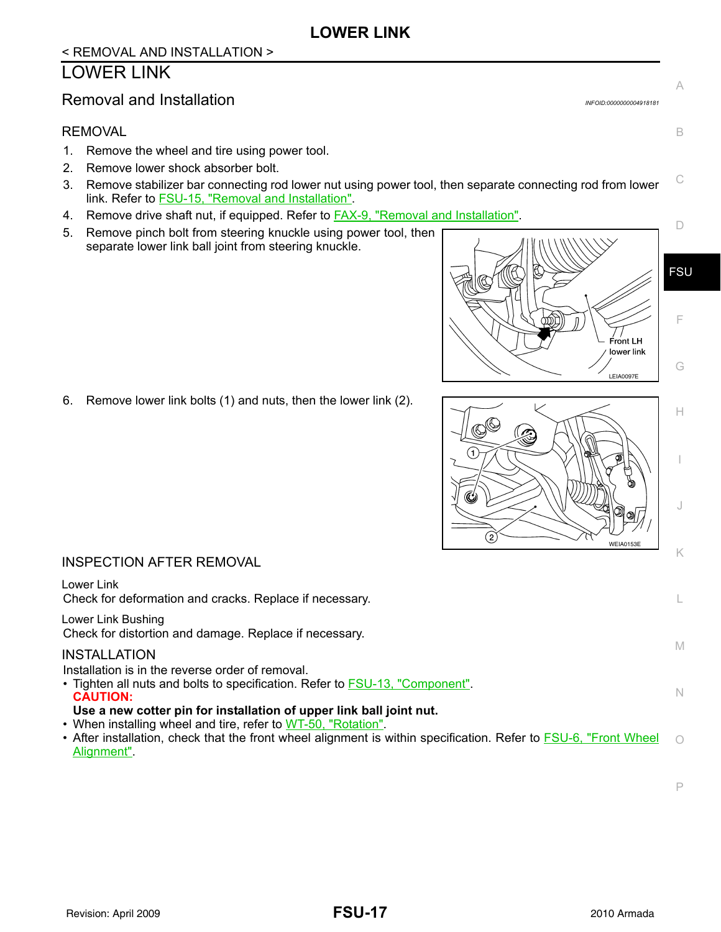## <span id="page-16-0"></span>LOWER LINK

## <span id="page-16-1"></span>Removal and Installation *INFOID:0000000004918181*

### REMOVAL

- 1. Remove the wheel and tire using power tool.
- 2. Remove lower shock absorber bolt.
- 3. Remove stabilizer bar connecting rod lower nut using power tool, then separate connecting rod from lower link. Refer to **FSU-15**, "Removal and Installation".
- 4. Remove drive shaft nut, if equipped. Refer to **FAX-9, "Removal and Installation"**.
- 5. Remove pinch bolt from steering knuckle using power tool, then separate lower link ball joint from steering knuckle.

6. Remove lower link bolts (1) and nuts, then the lower link (2).

L M N  $\bigcap$ INSPECTION AFTER REMOVAL Lower Link Check for deformation and cracks. Replace if necessary. Lower Link Bushing Check for distortion and damage. Replace if necessary. INSTALLATION Installation is in the reverse order of removal. • Tighten all nuts and bolts to specification. Refer to [FSU-13, "Component"](#page-12-2). **CAUTION: Use a new cotter pin for installation of upper link ball joint nut.** • When installing wheel and tire, refer to WT-50, "Rotation". • After installation, check that the front wheel alignment is within specification. Refer to **FSU-6**, "Front Wheel [Alignment"](#page-5-3).

Front LH lower link LEIA0097E

C

A

B

D

FSU

F

G

H

I

J

K

P

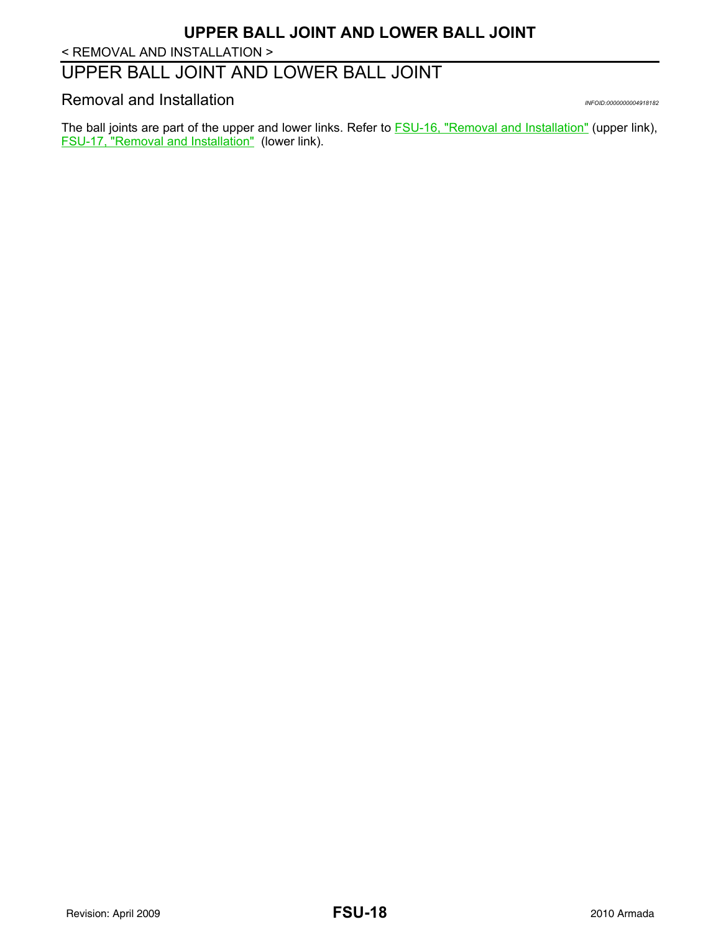### **UPPER BALL JOINT AND LOWER BALL JOINT**

< REMOVAL AND INSTALLATION >

## <span id="page-17-0"></span>UPPER BALL JOINT AND LOWER BALL JOINT

#### <span id="page-17-1"></span>Removal and Installation *Installation* **Installation Installation**

The ball joints are part of the upper and lower links. Refer to **FSU-16**, "Removal and Installation" (upper link), [FSU-17, "Removal and Installation"](#page-16-1) (lower link).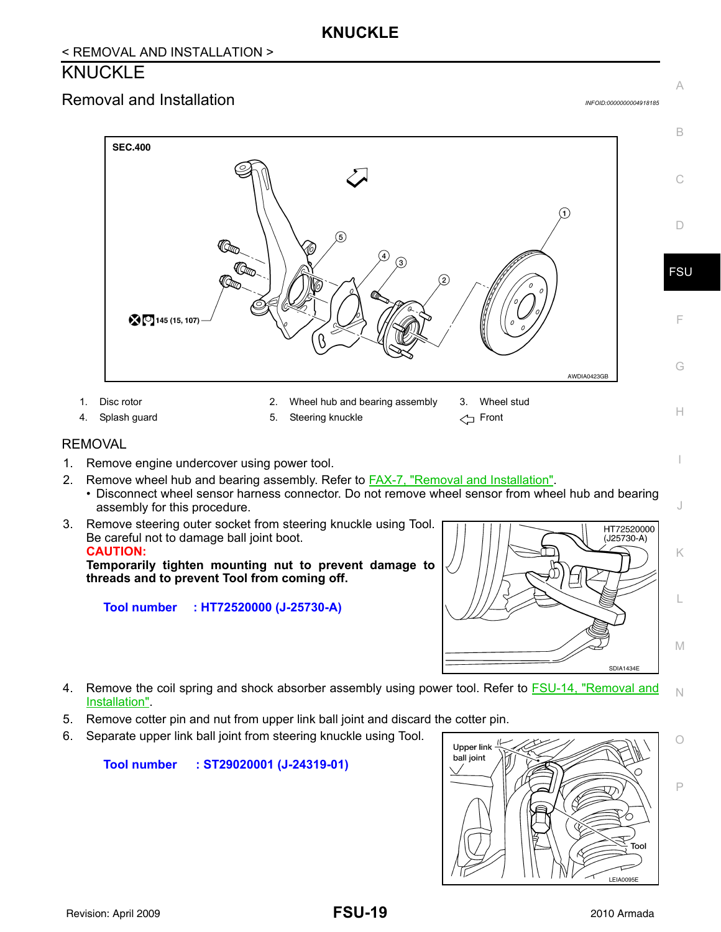## <span id="page-18-0"></span>< REMOVAL AND INSTALLATION > KNUCKLE

## <span id="page-18-1"></span>Removal and Installation *Installation Installation Installation INFOID:000000004918185*

A



P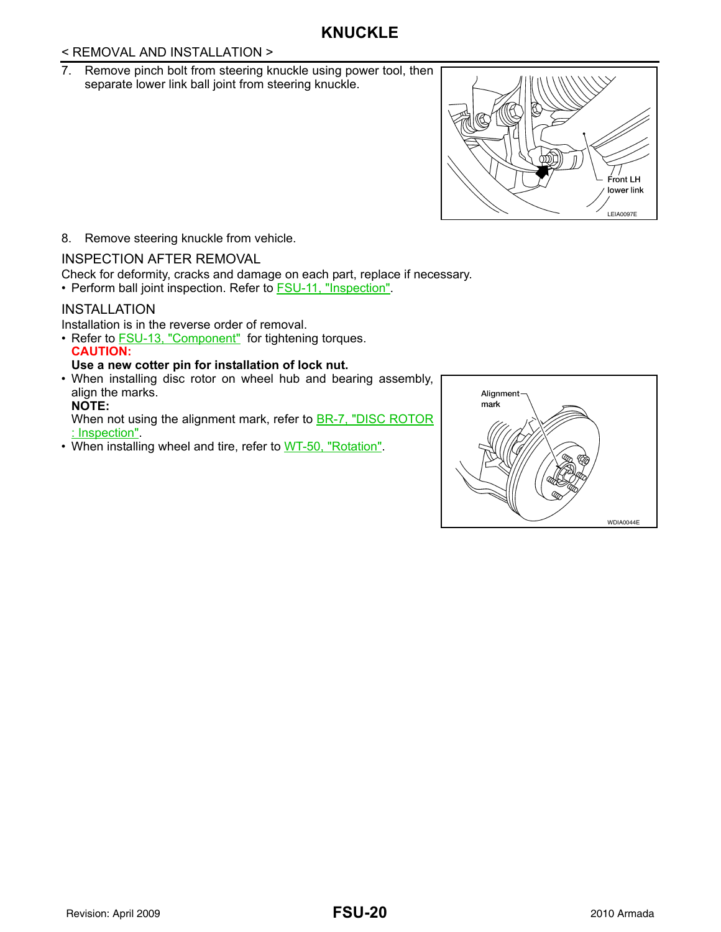## **KNUCKLE**

#### < REMOVAL AND INSTALLATION >

7. Remove pinch bolt from steering knuckle using power tool, then separate lower link ball joint from steering knuckle.



8. Remove steering knuckle from vehicle.

#### INSPECTION AFTER REMOVAL

Check for deformity, cracks and damage on each part, replace if necessary.

• Perform ball joint inspection. Refer to **FSU-11**, "Inspection".

#### INSTALLATION

Installation is in the reverse order of removal.

• Refer to **[FSU-13, "Component"](#page-12-2)** for tightening torques. **CAUTION:**

#### **Use a new cotter pin for installation of lock nut.**

• When installing disc rotor on wheel hub and bearing assembly, align the marks.

#### **NOTE:**

When not using the alignment mark, refer to **BR-7, "DISC ROTOR** : Inspection".

• When installing wheel and tire, refer to WT-50, "Rotation".

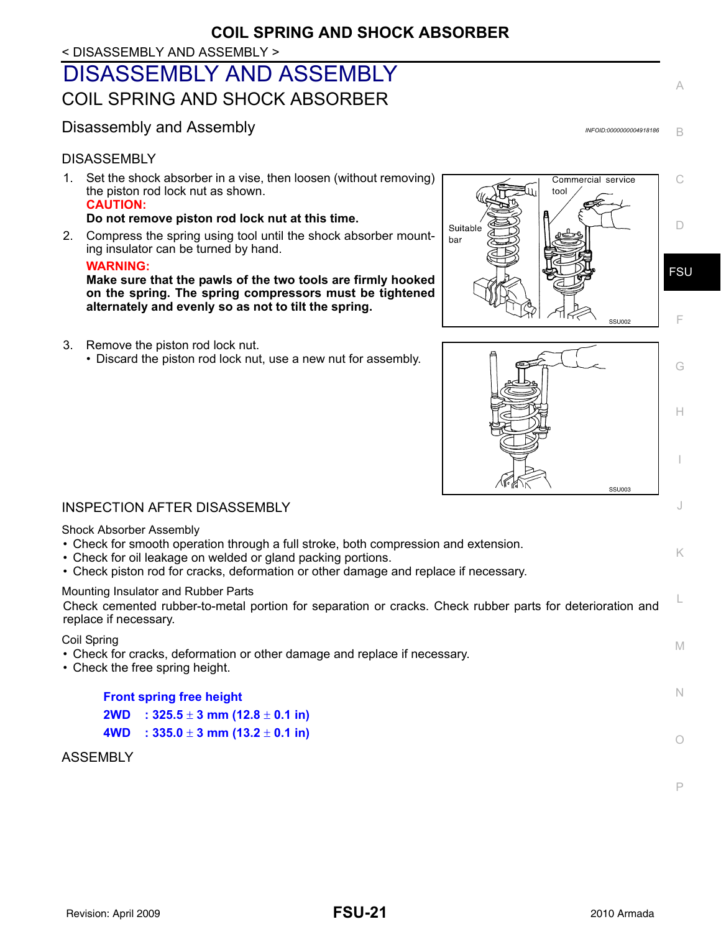#### < DISASSEMBLY AND ASSEMBLY >

## <span id="page-20-1"></span><span id="page-20-0"></span>DISASSEMBLY AND ASSEMBLY COIL SPRING AND SHOCK ABSORBER

## <span id="page-20-2"></span>Disassembly and Assembly **Integral and Assembly** *INFOID:000000004918186*

#### DISASSEMBLY

1. Set the shock absorber in a vise, then loosen (without removing) the piston rod lock nut as shown. **CAUTION:**

#### **Do not remove piston rod lock nut at this time.**

2. Compress the spring using tool until the shock absorber mounting insulator can be turned by hand. **WARNING:**

**Make sure that the pawls of the two tools are firmly hooked on the spring. The spring compressors must be tightened alternately and evenly so as not to tilt the spring.**

- 3. Remove the piston rod lock nut.
	- Discard the piston rod lock nut, use a new nut for assembly.





#### INSPECTION AFTER DISASSEMBLY

#### Shock Absorber Assembly

- Check for smooth operation through a full stroke, both compression and extension.
- Check for oil leakage on welded or gland packing portions.
- Check piston rod for cracks, deformation or other damage and replace if necessary.

#### Mounting Insulator and Rubber Parts

Check cemented rubber-to-metal portion for separation or cracks. Check rubber parts for deterioration and replace if necessary.

Coil Spring

- Check for cracks, deformation or other damage and replace if necessary.
- Check the free spring height.

| <b>Front spring free height</b>              |  |
|----------------------------------------------|--|
| $2WD$ : $325.5 \pm 3$ mm (12.8 $\pm$ 0.1 in) |  |
| 4WD : $335.0 \pm 3$ mm (13.2 $\pm$ 0.1 in)   |  |

#### ASSEMBLY

A

B

F

K

L

M

P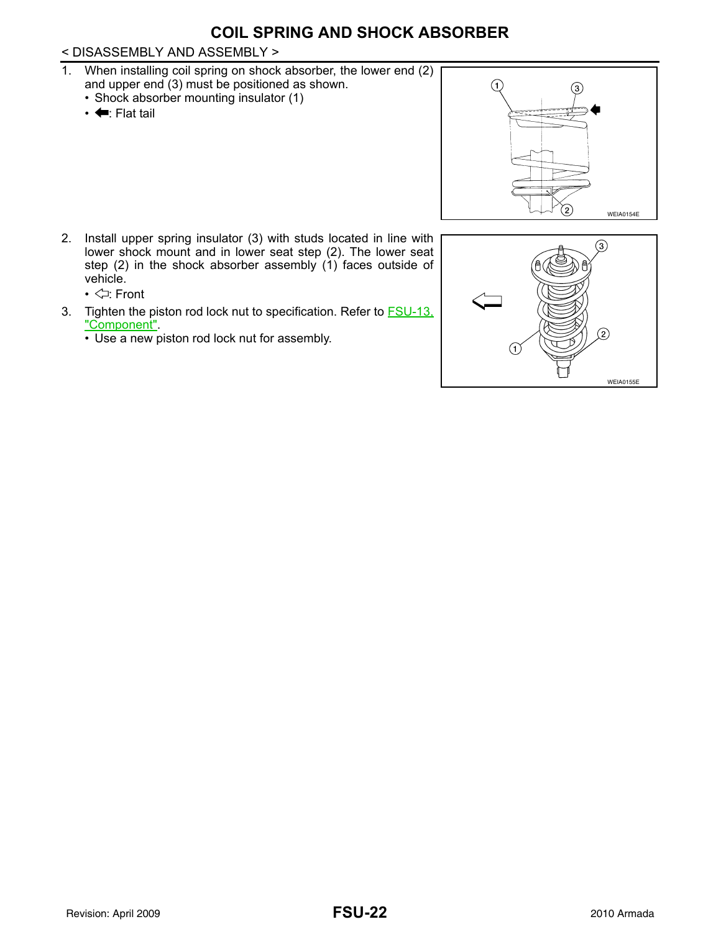## **COIL SPRING AND SHOCK ABSORBER**

#### < DISASSEMBLY AND ASSEMBLY >

- 1. When installing coil spring on shock absorber, the lower end (2) and upper end (3) must be positioned as shown.
	- Shock absorber mounting insulator (1)
	- $\cdot \leftarrow$ : Flat tail



- 2. Install upper spring insulator (3) with studs located in line with lower shock mount and in lower seat step (2). The lower seat step (2) in the shock absorber assembly (1) faces outside of vehicle.
	- $\cdot$   $\Leftrightarrow$  Front
- 3. Tighten the piston rod lock nut to specification. Refer to **FSU-13**, ["Component".](#page-12-2)
	- Use a new piston rod lock nut for assembly.

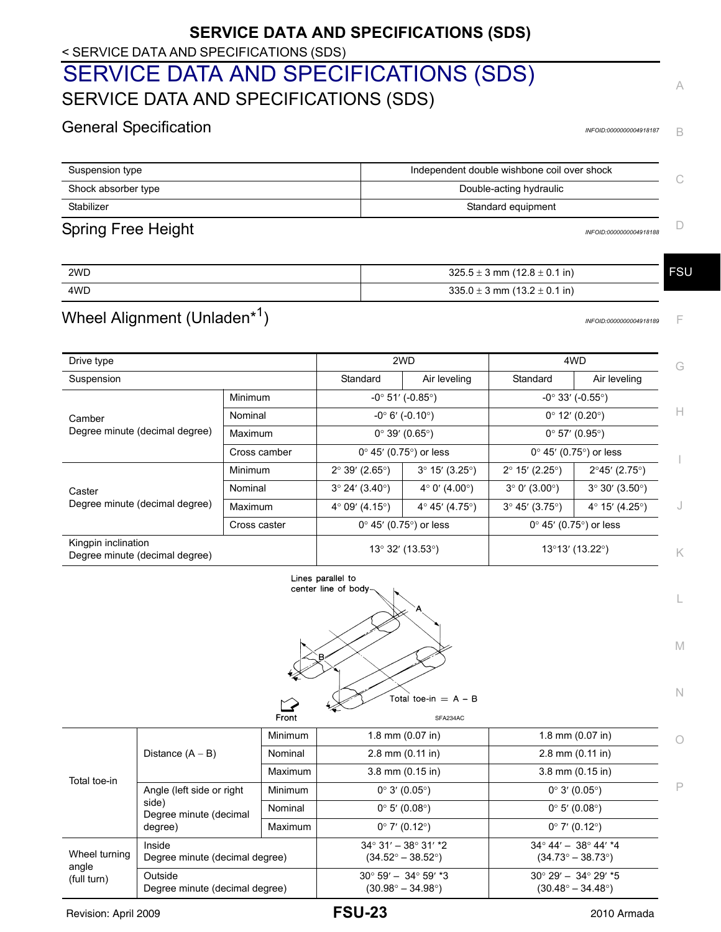## **SERVICE DATA AND SPECIFICATIONS (SDS)**

#### < SERVICE DATA AND SPECIFICATIONS (SDS)

## <span id="page-22-0"></span>SERVICE DATA AND SPECIFICATIONS (SDS)

## <span id="page-22-1"></span>SERVICE DATA AND SPECIFICATIONS (SDS)

## <span id="page-22-2"></span>General Specification **Integral** Specification *INFOID:000000004918187*

B

| Suspension type     | Independent double wishbone coil over shock |  |
|---------------------|---------------------------------------------|--|
| Shock absorber type | Double-acting hydraulic                     |  |
| Stabilizer          | Standard equipment                          |  |

## <span id="page-22-3"></span>Spring Free Height **International Spring Free Height** *INFOID:000000004918188***</mark>**

 $\Box$ 

A

| 2WD | $325.5 \pm 3$ mm (12.8 $\pm$ 0.1 in) | -SU |
|-----|--------------------------------------|-----|
| 4WD | $335.0 \pm 3$ mm (13.2 $\pm$ 0.1 in) |     |

## <span id="page-22-4"></span>Wheel Alignment (Unladen<sup>\*1</sup>) *IMPOD:000000004918189*

F

| Drive type                                            |              | 2WD                                        |                                    | 4WD                                        |                                    |
|-------------------------------------------------------|--------------|--------------------------------------------|------------------------------------|--------------------------------------------|------------------------------------|
| Suspension                                            |              | Standard                                   | Air leveling                       | Standard                                   | Air leveling                       |
| Camber<br>Degree minute (decimal degree)              | Minimum      | $-0^{\circ}$ 51' ( $-0.85^{\circ}$ )       |                                    | $-0^{\circ}$ 33' ( $-0.55^{\circ}$ )       |                                    |
|                                                       | Nominal      | $-0^{\circ}$ 6' ( $-0.10^{\circ}$ )        |                                    | $0^{\circ}$ 12' (0.20 $^{\circ}$ )         |                                    |
|                                                       | Maximum      | $0^{\circ}$ 39' (0.65 $^{\circ}$ )         |                                    | $0^{\circ}$ 57' (0.95°)                    |                                    |
|                                                       | Cross camber | $0^{\circ}$ 45' (0.75°) or less            |                                    | $0^{\circ}$ 45' (0.75°) or less            |                                    |
|                                                       | Minimum      | $2^{\circ}$ 39' (2.65 $^{\circ}$ )         | $3^{\circ}$ 15' (3.25 $^{\circ}$ ) | $2^{\circ}$ 15' (2.25 $^{\circ}$ )         | $2^{\circ}45'$ (2.75 $^{\circ}$ )  |
| Caster<br>Degree minute (decimal degree)              | Nominal      | $3^{\circ}$ 24' (3.40 $^{\circ}$ )         | $4^{\circ}$ 0' $(4.00^{\circ})$    | $3^{\circ}$ 0' (3.00 $^{\circ}$ )          | $3^{\circ} 30' (3.50^{\circ})$     |
|                                                       | Maximum      | $4^{\circ}$ 09' (4.15 $^{\circ}$ )         | $4^{\circ}$ 45' (4.75 $^{\circ}$ ) | $3^{\circ}$ 45' (3.75°)                    | $4^{\circ}$ 15' (4.25 $^{\circ}$ ) |
|                                                       | Cross caster | $0^{\circ}$ 45' (0.75 $^{\circ}$ ) or less |                                    | $0^{\circ}$ 45' (0.75 $^{\circ}$ ) or less |                                    |
| Kingpin inclination<br>Degree minute (decimal degree) |              | $13^{\circ}$ 32' (13.53 $^{\circ}$ )       |                                    | $13°13'$ (13.22°)                          |                                    |



L

M

| Total toe-in<br>side) |                                           | <b>Minimum</b> | 1.8 mm $(0.07 \text{ in})$                                                   | 1.8 mm $(0.07 \text{ in})$                                                  | ∩ |
|-----------------------|-------------------------------------------|----------------|------------------------------------------------------------------------------|-----------------------------------------------------------------------------|---|
|                       | Distance $(A - B)$                        | Nominal        | $2.8$ mm $(0.11$ in)                                                         | $2.8$ mm $(0.11$ in)                                                        |   |
|                       |                                           | Maximum        | $3.8$ mm $(0.15$ in)                                                         | $3.8$ mm $(0.15$ in)                                                        |   |
|                       | Angle (left side or right                 | <b>Minimum</b> | $0^{\circ}$ 3' (0.05 $^{\circ}$ )                                            | $0^{\circ}$ 3' (0.05 $^{\circ}$ )                                           |   |
|                       | Degree minute (decimal                    | Nominal        | $0^{\circ}$ 5' (0.08 $^{\circ}$ )                                            | $0^{\circ}$ 5' (0.08 $^{\circ}$ )                                           |   |
|                       | degree)                                   | <b>Maximum</b> | $0^{\circ}$ 7' (0.12 $^{\circ}$ )                                            | $0^{\circ}$ 7' (0.12 $^{\circ}$ )                                           |   |
| Wheel turning         | Inside<br>Degree minute (decimal degree)  |                | $34^{\circ}$ 31' - 38 $^{\circ}$ 31' *2<br>$(34.52^{\circ} - 38.52^{\circ})$ | $34^{\circ} 44' - 38^{\circ} 44'$ *4<br>$(34.73^{\circ} - 38.73^{\circ})$   |   |
| angle<br>(full turn)  | Outside<br>Degree minute (decimal degree) |                | $30^{\circ} 59' - 34^{\circ} 59'$ *3<br>$(30.98^{\circ} - 34.98^{\circ})$    | $30^{\circ}$ 29' - $34^{\circ}$ 29' *5<br>$(30.48^{\circ} - 34.48^{\circ})$ |   |

Revision: April 2009 **2010 2010 Armada 2010 Armada 2010 Armada**